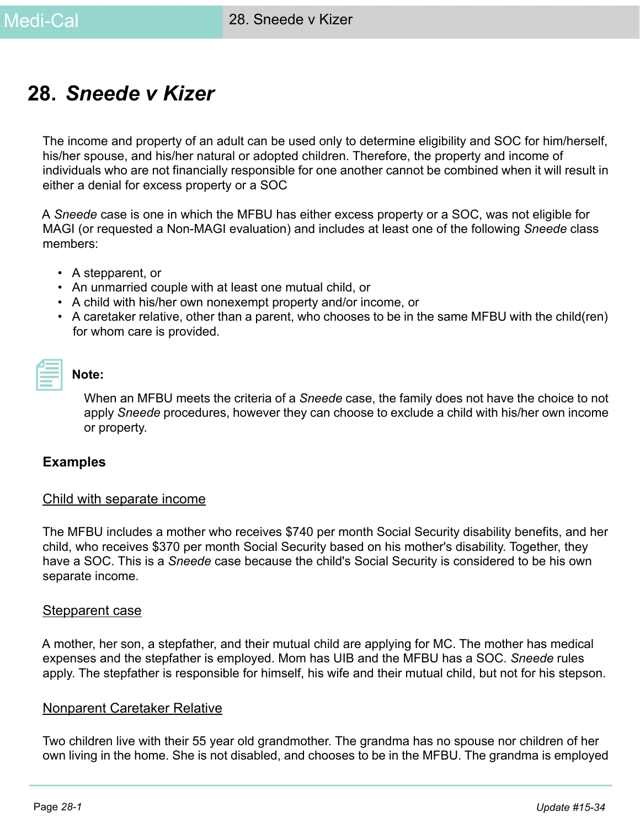# **28.** *Sneede v Kizer*

The income and property of an adult can be used only to determine eligibility and SOC for him/herself, his/her spouse, and his/her natural or adopted children. Therefore, the property and income of individuals who are not financially responsible for one another cannot be combined when it will result in either a denial for excess property or a SOC

A *Sneede* case is one in which the MFBU has either excess property or a SOC, was not eligible for MAGI (or requested a Non-MAGI evaluation) and includes at least one of the following *Sneede* class members:

- A stepparent, or
- An unmarried couple with at least one mutual child, or
- A child with his/her own nonexempt property and/or income, or
- A caretaker relative, other than a parent, who chooses to be in the same MFBU with the child(ren) for whom care is provided.

| and the state of the state of the state of the state of the state of the state of the state of the state of th |  |
|----------------------------------------------------------------------------------------------------------------|--|
|                                                                                                                |  |

#### **Note:**

When an MFBU meets the criteria of a *Sneede* case, the family does not have the choice to not apply *Sneede* procedures, however they can choose to exclude a child with his/her own income or property.

#### **Examples**

#### Child with separate income

The MFBU includes a mother who receives \$740 per month Social Security disability benefits, and her child, who receives \$370 per month Social Security based on his mother's disability. Together, they have a SOC. This is a *Sneede* case because the child's Social Security is considered to be his own separate income.

#### Stepparent case

A mother, her son, a stepfather, and their mutual child are applying for MC. The mother has medical expenses and the stepfather is employed. Mom has UIB and the MFBU has a SOC. *Sneede* rules apply. The stepfather is responsible for himself, his wife and their mutual child, but not for his stepson.

#### Nonparent Caretaker Relative

Two children live with their 55 year old grandmother. The grandma has no spouse nor children of her own living in the home. She is not disabled, and chooses to be in the MFBU. The grandma is employed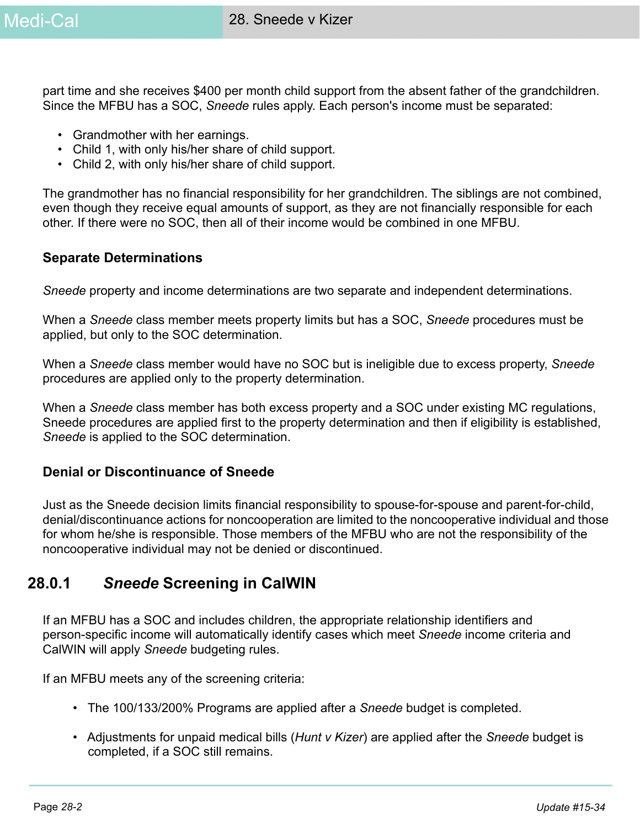part time and she receives \$400 per month child support from the absent father of the grandchildren. Since the MFBU has a SOC, *Sneede* rules apply. Each person's income must be separated:

- Grandmother with her earnings.
- Child 1, with only his/her share of child support.
- Child 2, with only his/her share of child support.

The grandmother has no financial responsibility for her grandchildren. The siblings are not combined, even though they receive equal amounts of support, as they are not financially responsible for each other. If there were no SOC, then all of their income would be combined in one MFBU.

#### **Separate Determinations**

*Sneede* property and income determinations are two separate and independent determinations.

When a *Sneede* class member meets property limits but has a SOC, *Sneede* procedures must be applied, but only to the SOC determination.

When a *Sneede* class member would have no SOC but is ineligible due to excess property, *Sneede* procedures are applied only to the property determination.

When a *Sneede* class member has both excess property and a SOC under existing MC regulations, Sneede procedures are applied first to the property determination and then if eligibility is established, *Sneede* is applied to the SOC determination.

#### **Denial or Discontinuance of Sneede**

Just as the Sneede decision limits financial responsibility to spouse-for-spouse and parent-for-child, denial/discontinuance actions for noncooperation are limited to the noncooperative individual and those for whom he/she is responsible. Those members of the MFBU who are not the responsibility of the noncooperative individual may not be denied or discontinued.

# **28.0.1** *Sneede* **Screening in CalWIN**

If an MFBU has a SOC and includes children, the appropriate relationship identifiers and person-specific income will automatically identify cases which meet *Sneede* income criteria and CalWIN will apply *Sneede* budgeting rules.

If an MFBU meets any of the screening criteria:

- The 100/133/200% Programs are applied after a *Sneede* budget is completed.
- Adjustments for unpaid medical bills (*Hunt v Kizer*) are applied after the *Sneede* budget is completed, if a SOC still remains.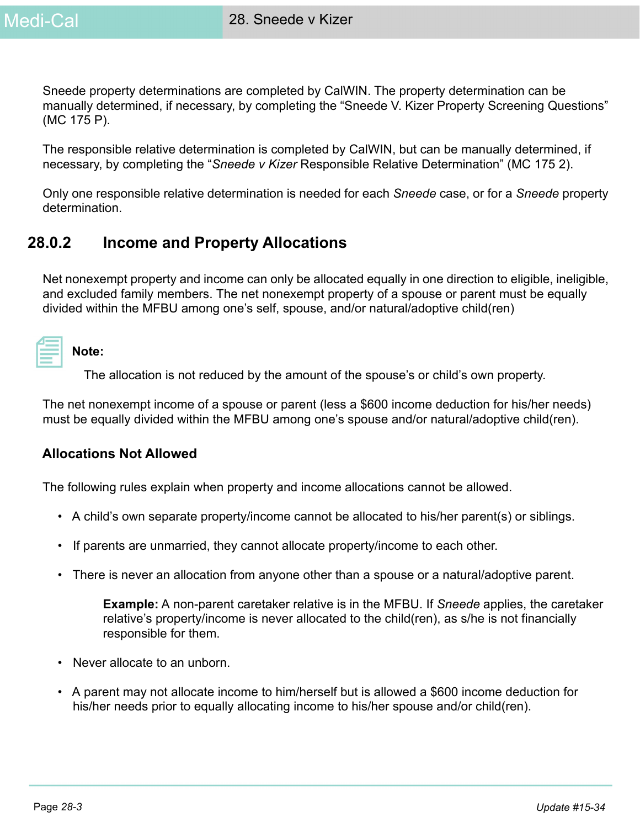Sneede property determinations are completed by CalWIN. The property determination can be manually determined, if necessary, by completing the "Sneede V. Kizer Property Screening Questions" (MC 175 P).

The responsible relative determination is completed by CalWIN, but can be manually determined, if necessary, by completing the "*Sneede v Kizer* Responsible Relative Determination" (MC 175 2).

Only one responsible relative determination is needed for each *Sneede* case, or for a *Sneede* property determination.

# **28.0.2 Income and Property Allocations**

Net nonexempt property and income can only be allocated equally in one direction to eligible, ineligible, and excluded family members. The net nonexempt property of a spouse or parent must be equally divided within the MFBU among one's self, spouse, and/or natural/adoptive child(ren)

| Note: |
|-------|
|-------|

The allocation is not reduced by the amount of the spouse's or child's own property.

The net nonexempt income of a spouse or parent (less a \$600 income deduction for his/her needs) must be equally divided within the MFBU among one's spouse and/or natural/adoptive child(ren).

#### **Allocations Not Allowed**

The following rules explain when property and income allocations cannot be allowed.

- A child's own separate property/income cannot be allocated to his/her parent(s) or siblings.
- If parents are unmarried, they cannot allocate property/income to each other.
- There is never an allocation from anyone other than a spouse or a natural/adoptive parent.

**Example:** A non-parent caretaker relative is in the MFBU. If *Sneede* applies, the caretaker relative's property/income is never allocated to the child(ren), as s/he is not financially responsible for them.

- Never allocate to an unborn.
- A parent may not allocate income to him/herself but is allowed a \$600 income deduction for his/her needs prior to equally allocating income to his/her spouse and/or child(ren).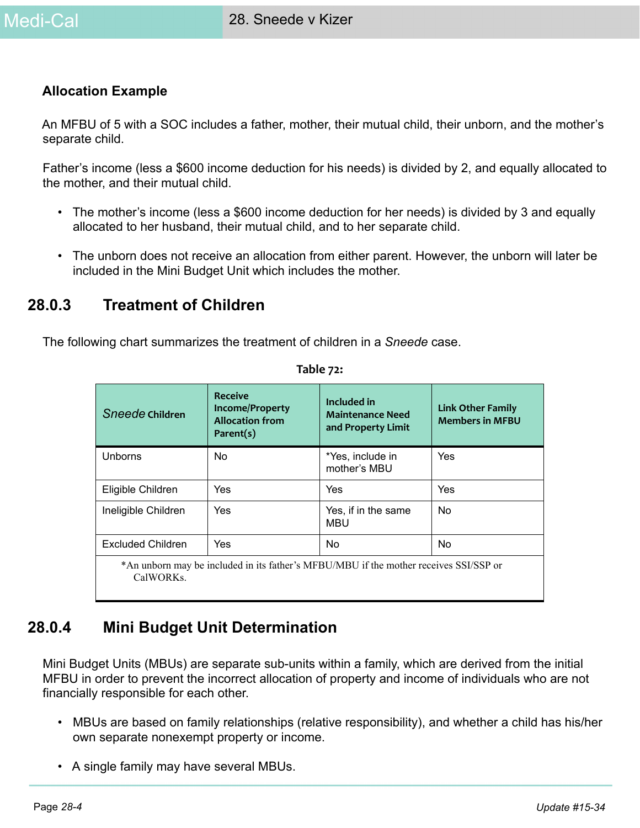#### **Allocation Example**

An MFBU of 5 with a SOC includes a father, mother, their mutual child, their unborn, and the mother's separate child.

Father's income (less a \$600 income deduction for his needs) is divided by 2, and equally allocated to the mother, and their mutual child.

- The mother's income (less a \$600 income deduction for her needs) is divided by 3 and equally allocated to her husband, their mutual child, and to her separate child.
- The unborn does not receive an allocation from either parent. However, the unborn will later be included in the Mini Budget Unit which includes the mother.

# **28.0.3 Treatment of Children**

The following chart summarizes the treatment of children in a *Sneede* case.

| Sneede Children          | <b>Receive</b><br><b>Income/Property</b><br><b>Allocation from</b><br>Parent(s) | Included in<br><b>Maintenance Need</b><br>and Property Limit                          | <b>Link Other Family</b><br><b>Members in MFBU</b> |
|--------------------------|---------------------------------------------------------------------------------|---------------------------------------------------------------------------------------|----------------------------------------------------|
| Unborns                  | <b>No</b>                                                                       | *Yes, include in<br>mother's MBU                                                      | Yes                                                |
| Eligible Children        | Yes                                                                             | Yes                                                                                   | Yes                                                |
| Ineligible Children      | Yes                                                                             | Yes, if in the same<br><b>MBU</b>                                                     | <b>No</b>                                          |
| <b>Excluded Children</b> | Yes                                                                             | <b>No</b>                                                                             | <b>No</b>                                          |
| CalWORKs.                |                                                                                 | *An unborn may be included in its father's MFBU/MBU if the mother receives SSI/SSP or |                                                    |

#### **Table 72:**

# **28.0.4 Mini Budget Unit Determination**

Mini Budget Units (MBUs) are separate sub-units within a family, which are derived from the initial MFBU in order to prevent the incorrect allocation of property and income of individuals who are not financially responsible for each other.

- MBUs are based on family relationships (relative responsibility), and whether a child has his/her own separate nonexempt property or income.
- A single family may have several MBUs.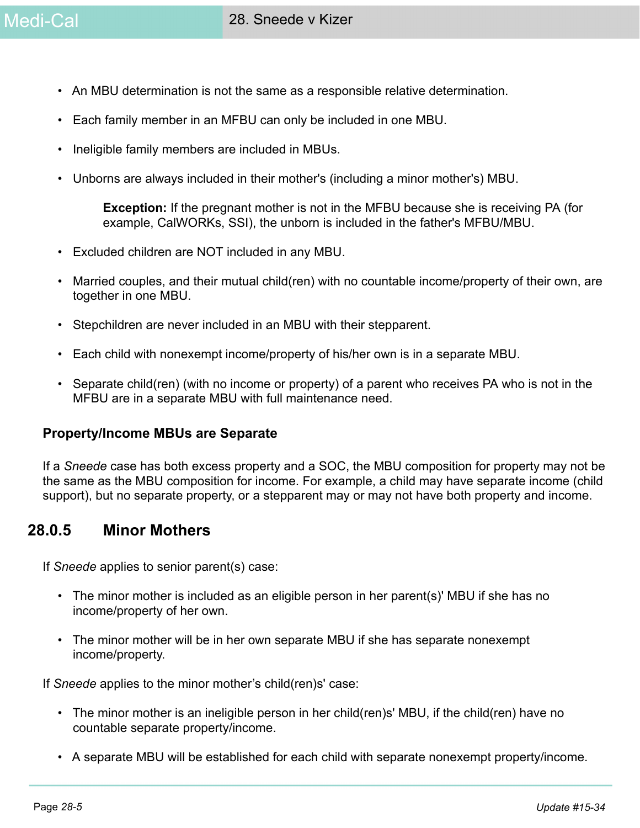- An MBU determination is not the same as a responsible relative determination.
- Each family member in an MFBU can only be included in one MBU.
- Ineligible family members are included in MBUs.
- Unborns are always included in their mother's (including a minor mother's) MBU.

**Exception:** If the pregnant mother is not in the MFBU because she is receiving PA (for example, CalWORKs, SSI), the unborn is included in the father's MFBU/MBU.

- Excluded children are NOT included in any MBU.
- Married couples, and their mutual child(ren) with no countable income/property of their own, are together in one MBU.
- Stepchildren are never included in an MBU with their stepparent.
- Each child with nonexempt income/property of his/her own is in a separate MBU.
- Separate child(ren) (with no income or property) of a parent who receives PA who is not in the MFBU are in a separate MBU with full maintenance need.

#### **Property/Income MBUs are Separate**

If a *Sneede* case has both excess property and a SOC, the MBU composition for property may not be the same as the MBU composition for income. For example, a child may have separate income (child support), but no separate property, or a stepparent may or may not have both property and income.

## **28.0.5 Minor Mothers**

If *Sneede* applies to senior parent(s) case:

- The minor mother is included as an eligible person in her parent(s)' MBU if she has no income/property of her own.
- The minor mother will be in her own separate MBU if she has separate nonexempt income/property.

If *Sneede* applies to the minor mother's child(ren)s' case:

- The minor mother is an ineligible person in her child(ren)s' MBU, if the child(ren) have no countable separate property/income.
- A separate MBU will be established for each child with separate nonexempt property/income.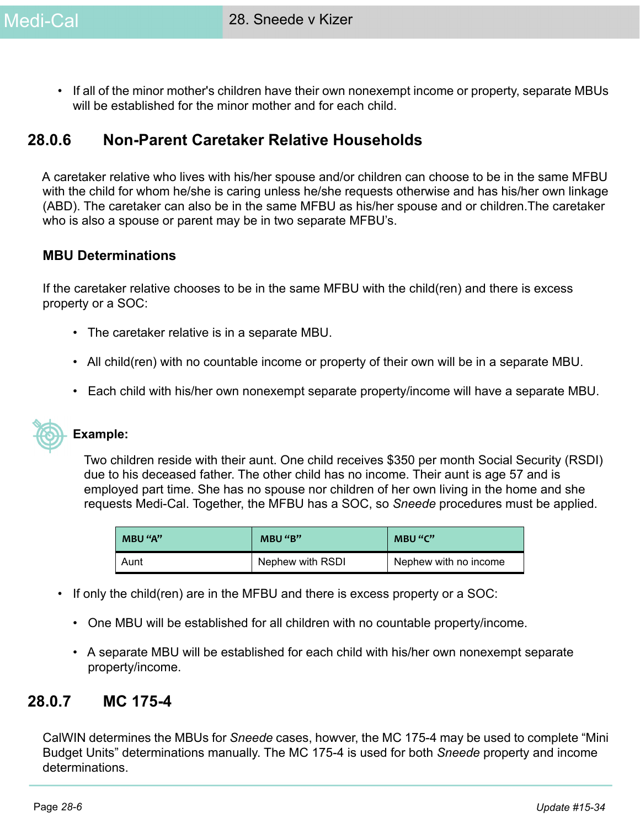• If all of the minor mother's children have their own nonexempt income or property, separate MBUs will be established for the minor mother and for each child.

# **28.0.6 Non-Parent Caretaker Relative Households**

A caretaker relative who lives with his/her spouse and/or children can choose to be in the same MFBU with the child for whom he/she is caring unless he/she requests otherwise and has his/her own linkage (ABD). The caretaker can also be in the same MFBU as his/her spouse and or children.The caretaker who is also a spouse or parent may be in two separate MFBU's.

#### **MBU Determinations**

If the caretaker relative chooses to be in the same MFBU with the child(ren) and there is excess property or a SOC:

- The caretaker relative is in a separate MBU.
- All child(ren) with no countable income or property of their own will be in a separate MBU.
- Each child with his/her own nonexempt separate property/income will have a separate MBU.



#### **Example:**

Two children reside with their aunt. One child receives \$350 per month Social Security (RSDI) due to his deceased father. The other child has no income. Their aunt is age 57 and is employed part time. She has no spouse nor children of her own living in the home and she requests Medi-Cal. Together, the MFBU has a SOC, so *Sneede* procedures must be applied.

| MBU "A" | MBU "B"          | MBU "C"               |
|---------|------------------|-----------------------|
| Aunt    | Nephew with RSDI | Nephew with no income |

- If only the child(ren) are in the MFBU and there is excess property or a SOC:
	- One MBU will be established for all children with no countable property/income.
	- A separate MBU will be established for each child with his/her own nonexempt separate property/income.

## **28.0.7 MC 175-4**

CalWIN determines the MBUs for *Sneede* cases, howver, the MC 175-4 may be used to complete "Mini Budget Units" determinations manually. The MC 175-4 is used for both *Sneede* property and income determinations.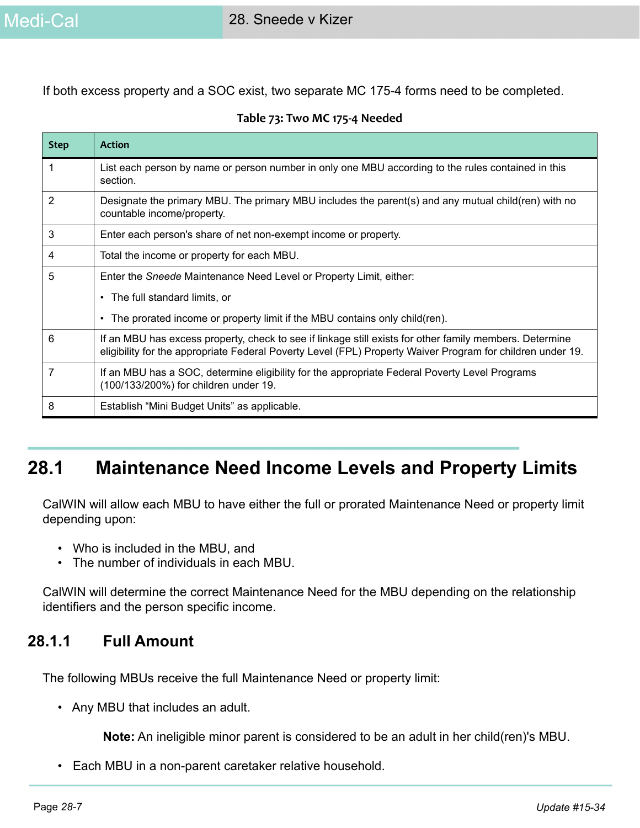If both excess property and a SOC exist, two separate MC 175-4 forms need to be completed.

|  |  | Table 73: Two MC 175-4 Needed |  |
|--|--|-------------------------------|--|
|--|--|-------------------------------|--|

| <b>Step</b> | <b>Action</b>                                                                                                                                                                                                         |
|-------------|-----------------------------------------------------------------------------------------------------------------------------------------------------------------------------------------------------------------------|
|             | List each person by name or person number in only one MBU according to the rules contained in this<br>section.                                                                                                        |
| 2           | Designate the primary MBU. The primary MBU includes the parent(s) and any mutual child(ren) with no<br>countable income/property.                                                                                     |
| 3           | Enter each person's share of net non-exempt income or property.                                                                                                                                                       |
| 4           | Total the income or property for each MBU.                                                                                                                                                                            |
| 5           | Enter the Sneede Maintenance Need Level or Property Limit, either:                                                                                                                                                    |
|             | • The full standard limits, or                                                                                                                                                                                        |
|             | The prorated income or property limit if the MBU contains only child (ren).<br>$\bullet$                                                                                                                              |
| 6           | If an MBU has excess property, check to see if linkage still exists for other family members. Determine<br>eligibility for the appropriate Federal Poverty Level (FPL) Property Waiver Program for children under 19. |
|             | If an MBU has a SOC, determine eligibility for the appropriate Federal Poverty Level Programs<br>(100/133/200%) for children under 19.                                                                                |
| 8           | Establish "Mini Budget Units" as applicable.                                                                                                                                                                          |

# **28.1 Maintenance Need Income Levels and Property Limits**

CalWIN will allow each MBU to have either the full or prorated Maintenance Need or property limit depending upon:

- Who is included in the MBU, and
- The number of individuals in each MBU.

CalWIN will determine the correct Maintenance Need for the MBU depending on the relationship identifiers and the person specific income.

## **28.1.1 Full Amount**

The following MBUs receive the full Maintenance Need or property limit:

• Any MBU that includes an adult.

**Note:** An ineligible minor parent is considered to be an adult in her child(ren)'s MBU.

• Each MBU in a non-parent caretaker relative household.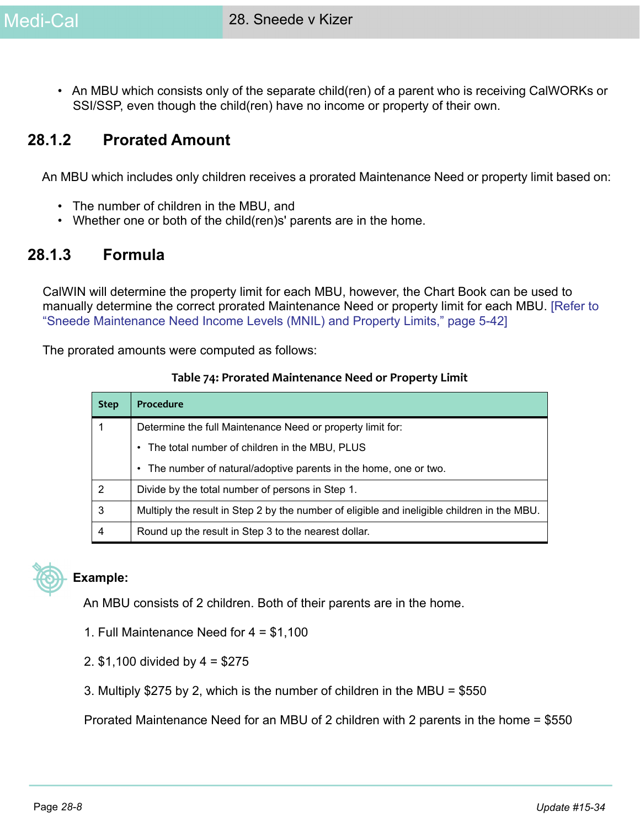• An MBU which consists only of the separate child(ren) of a parent who is receiving CalWORKs or SSI/SSP, even though the child(ren) have no income or property of their own.

# **28.1.2 Prorated Amount**

An MBU which includes only children receives a prorated Maintenance Need or property limit based on:

- The number of children in the MBU, and
- Whether one or both of the child(ren)s' parents are in the home.

## **28.1.3 Formula**

CalWIN will determine the property limit for each MBU, however, the Chart Book can be used to manually determine the correct prorated Maintenance Need or property limit for each MBU. [Refer to "Sneede Maintenance Need Income Levels (MNIL) and Property Limits," page 5-42]

The prorated amounts were computed as follows:

|  |  | Table 74: Prorated Maintenance Need or Property Limit |
|--|--|-------------------------------------------------------|
|--|--|-------------------------------------------------------|

| <b>Step</b> | Procedure                                                                                   |
|-------------|---------------------------------------------------------------------------------------------|
|             | Determine the full Maintenance Need or property limit for:                                  |
|             | • The total number of children in the MBU, PLUS                                             |
|             | • The number of natural/adoptive parents in the home, one or two.                           |
| 2           | Divide by the total number of persons in Step 1.                                            |
| 3           | Multiply the result in Step 2 by the number of eligible and ineligible children in the MBU. |
| 4           | Round up the result in Step 3 to the nearest dollar.                                        |



#### **Example:**

An MBU consists of 2 children. Both of their parents are in the home.

- 1. Full Maintenance Need for 4 = \$1,100
- 2. \$1,100 divided by 4 = \$275
- 3. Multiply \$275 by 2, which is the number of children in the MBU = \$550

Prorated Maintenance Need for an MBU of 2 children with 2 parents in the home = \$550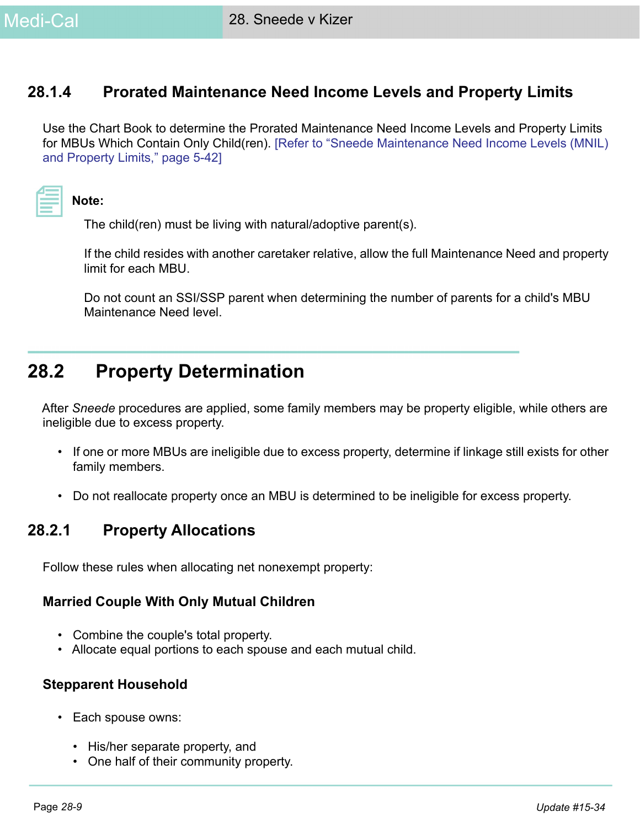# **28.1.4 Prorated Maintenance Need Income Levels and Property Limits**

Use the Chart Book to determine the Prorated Maintenance Need Income Levels and Property Limits for MBUs Which Contain Only Child(ren). [Refer to "Sneede Maintenance Need Income Levels (MNIL) and Property Limits," page 5-42]

|  | and the state of the state of the state of the state of the state of the state of the state of the state of th<br>________ |  |
|--|----------------------------------------------------------------------------------------------------------------------------|--|

**Note:** 

The child(ren) must be living with natural/adoptive parent(s).

If the child resides with another caretaker relative, allow the full Maintenance Need and property limit for each MBU.

Do not count an SSI/SSP parent when determining the number of parents for a child's MBU Maintenance Need level.

# **28.2 Property Determination**

After *Sneede* procedures are applied, some family members may be property eligible, while others are ineligible due to excess property.

- If one or more MBUs are ineligible due to excess property, determine if linkage still exists for other family members.
- Do not reallocate property once an MBU is determined to be ineligible for excess property.

# **28.2.1 Property Allocations**

Follow these rules when allocating net nonexempt property:

#### **Married Couple With Only Mutual Children**

- Combine the couple's total property.
- Allocate equal portions to each spouse and each mutual child.

#### **Stepparent Household**

- Each spouse owns:
	- His/her separate property, and
	- One half of their community property.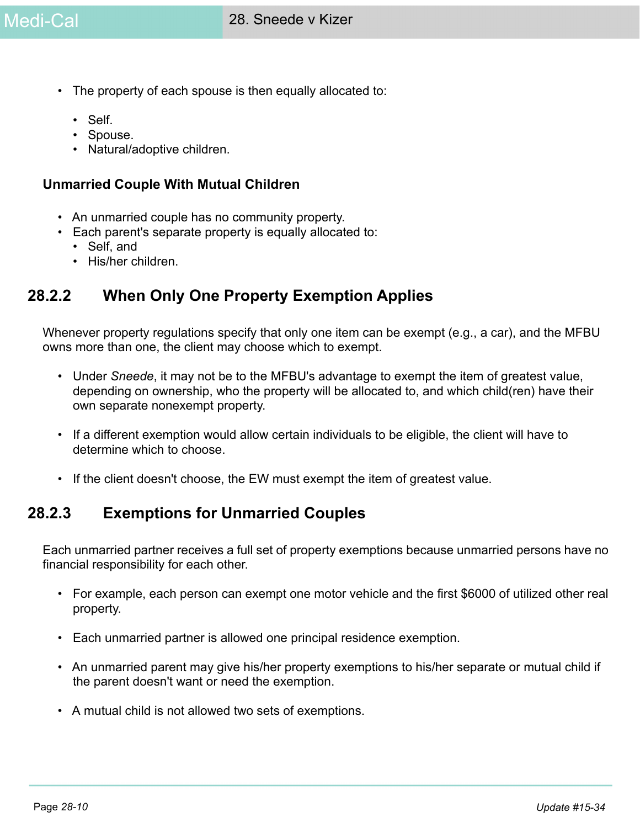- The property of each spouse is then equally allocated to:
	- Self.
	- Spouse.
	- Natural/adoptive children.

#### **Unmarried Couple With Mutual Children**

- An unmarried couple has no community property.
- Each parent's separate property is equally allocated to:
	- Self, and
	- His/her children.

# **28.2.2 When Only One Property Exemption Applies**

Whenever property regulations specify that only one item can be exempt (e.g., a car), and the MFBU owns more than one, the client may choose which to exempt.

- Under *Sneede*, it may not be to the MFBU's advantage to exempt the item of greatest value, depending on ownership, who the property will be allocated to, and which child(ren) have their own separate nonexempt property.
- If a different exemption would allow certain individuals to be eligible, the client will have to determine which to choose.
- If the client doesn't choose, the EW must exempt the item of greatest value.

# **28.2.3 Exemptions for Unmarried Couples**

Each unmarried partner receives a full set of property exemptions because unmarried persons have no financial responsibility for each other.

- For example, each person can exempt one motor vehicle and the first \$6000 of utilized other real property.
- Each unmarried partner is allowed one principal residence exemption.
- An unmarried parent may give his/her property exemptions to his/her separate or mutual child if the parent doesn't want or need the exemption.
- A mutual child is not allowed two sets of exemptions.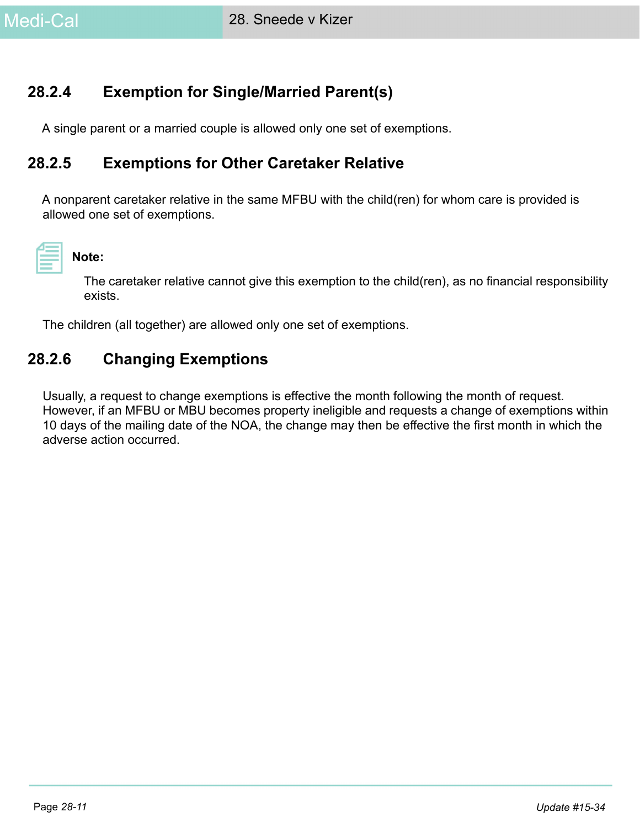# **28.2.4 Exemption for Single/Married Parent(s)**

A single parent or a married couple is allowed only one set of exemptions.

# **28.2.5 Exemptions for Other Caretaker Relative**

A nonparent caretaker relative in the same MFBU with the child(ren) for whom care is provided is allowed one set of exemptions.



#### **Note:**

The caretaker relative cannot give this exemption to the child(ren), as no financial responsibility exists.

The children (all together) are allowed only one set of exemptions.

# **28.2.6 Changing Exemptions**

Usually, a request to change exemptions is effective the month following the month of request. However, if an MFBU or MBU becomes property ineligible and requests a change of exemptions within 10 days of the mailing date of the NOA, the change may then be effective the first month in which the adverse action occurred.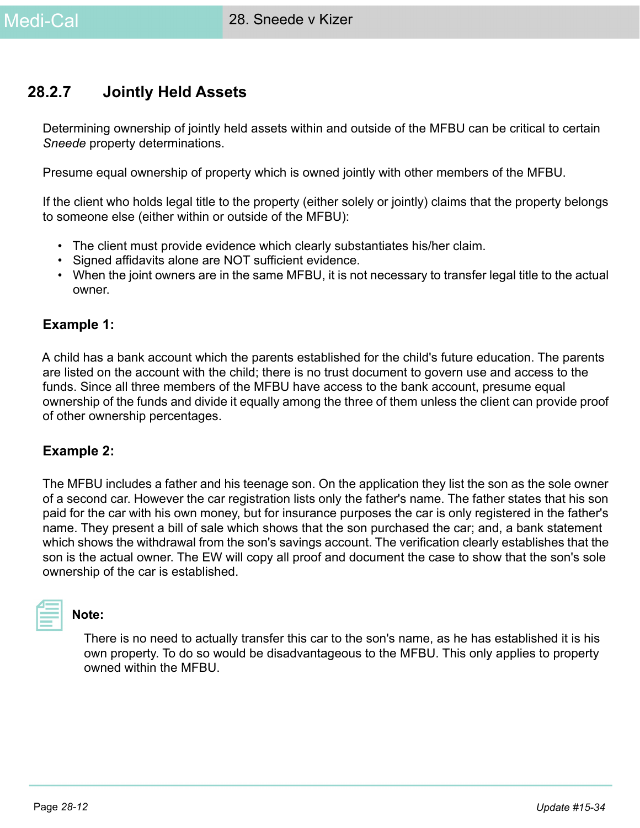# **28.2.7 Jointly Held Assets**

Determining ownership of jointly held assets within and outside of the MFBU can be critical to certain *Sneede* property determinations.

Presume equal ownership of property which is owned jointly with other members of the MFBU.

If the client who holds legal title to the property (either solely or jointly) claims that the property belongs to someone else (either within or outside of the MFBU):

- The client must provide evidence which clearly substantiates his/her claim.
- Signed affidavits alone are NOT sufficient evidence.
- When the joint owners are in the same MFBU, it is not necessary to transfer legal title to the actual owner.

#### **Example 1:**

A child has a bank account which the parents established for the child's future education. The parents are listed on the account with the child; there is no trust document to govern use and access to the funds. Since all three members of the MFBU have access to the bank account, presume equal ownership of the funds and divide it equally among the three of them unless the client can provide proof of other ownership percentages.

#### **Example 2:**

The MFBU includes a father and his teenage son. On the application they list the son as the sole owner of a second car. However the car registration lists only the father's name. The father states that his son paid for the car with his own money, but for insurance purposes the car is only registered in the father's name. They present a bill of sale which shows that the son purchased the car; and, a bank statement which shows the withdrawal from the son's savings account. The verification clearly establishes that the son is the actual owner. The EW will copy all proof and document the case to show that the son's sole ownership of the car is established.

**Note:** 

There is no need to actually transfer this car to the son's name, as he has established it is his own property. To do so would be disadvantageous to the MFBU. This only applies to property owned within the MFBU.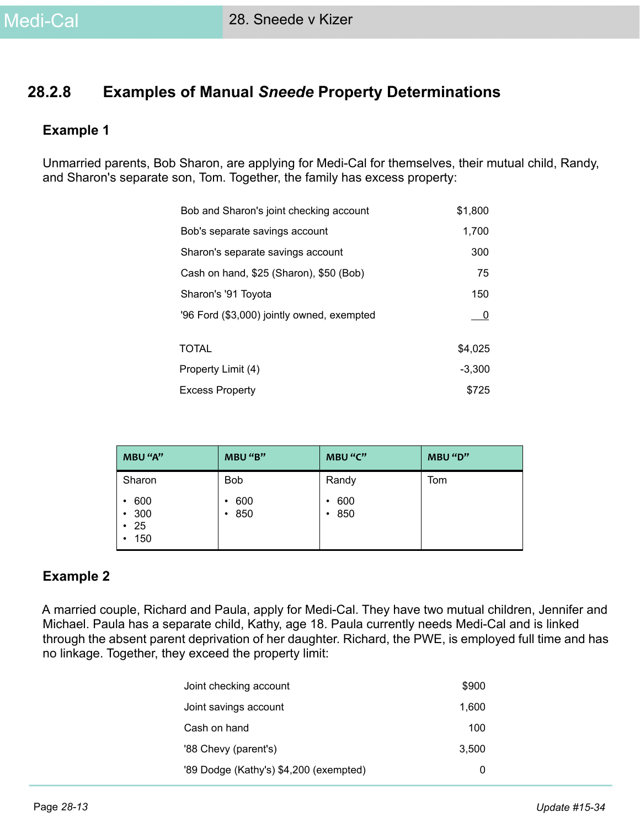# **28.2.8 Examples of Manual** *Sneede* **Property Determinations**

#### **Example 1**

Unmarried parents, Bob Sharon, are applying for Medi-Cal for themselves, their mutual child, Randy, and Sharon's separate son, Tom. Together, the family has excess property:

| Bob and Sharon's joint checking account    | \$1,800  |
|--------------------------------------------|----------|
| Bob's separate savings account             | 1,700    |
| Sharon's separate savings account          | 300      |
| Cash on hand, \$25 (Sharon), \$50 (Bob)    | 75       |
| Sharon's '91 Toyota                        | 150      |
| '96 Ford (\$3,000) jointly owned, exempted | - 0      |
| <b>TOTAL</b>                               | \$4,025  |
| Property Limit (4)                         | $-3,300$ |
| <b>Excess Property</b>                     | \$725    |

| MBU "A"                                             | MBU "B"                      | MBU "C"         | MBU "D" |
|-----------------------------------------------------|------------------------------|-----------------|---------|
| Sharon                                              | <b>Bob</b>                   | Randy           | Tom     |
| 600<br>$\bullet$<br>• 300<br>$\cdot$ 25<br>150<br>٠ | 600<br>٠<br>850<br>$\bullet$ | 600<br>٠<br>850 |         |

#### **Example 2**

A married couple, Richard and Paula, apply for Medi-Cal. They have two mutual children, Jennifer and Michael. Paula has a separate child, Kathy, age 18. Paula currently needs Medi-Cal and is linked through the absent parent deprivation of her daughter. Richard, the PWE, is employed full time and has no linkage. Together, they exceed the property limit:

| Joint checking account                 | \$900 |
|----------------------------------------|-------|
| Joint savings account                  | 1,600 |
| Cash on hand                           | 100   |
| '88 Chevy (parent's)                   | 3.500 |
| '89 Dodge (Kathy's) \$4,200 (exempted) | O     |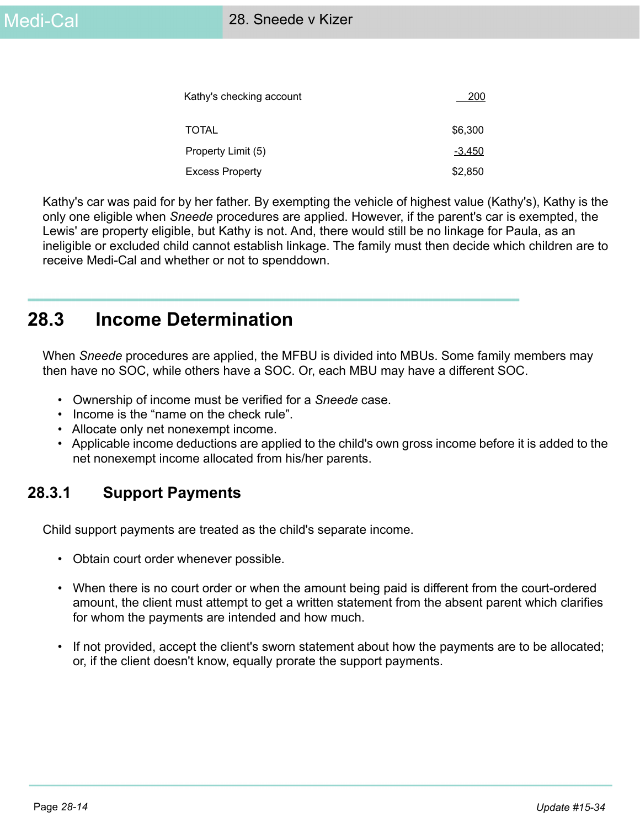| Kathy's checking account | 200     |
|--------------------------|---------|
| <b>TOTAL</b>             | \$6,300 |
| Property Limit (5)       | -3,450  |
| <b>Excess Property</b>   | \$2,850 |

Kathy's car was paid for by her father. By exempting the vehicle of highest value (Kathy's), Kathy is the only one eligible when *Sneede* procedures are applied. However, if the parent's car is exempted, the Lewis' are property eligible, but Kathy is not. And, there would still be no linkage for Paula, as an ineligible or excluded child cannot establish linkage. The family must then decide which children are to receive Medi-Cal and whether or not to spenddown.

# **28.3 Income Determination**

When *Sneede* procedures are applied, the MFBU is divided into MBUs. Some family members may then have no SOC, while others have a SOC. Or, each MBU may have a different SOC.

- Ownership of income must be verified for a *Sneede* case.
- Income is the "name on the check rule".
- Allocate only net nonexempt income.
- Applicable income deductions are applied to the child's own gross income before it is added to the net nonexempt income allocated from his/her parents.

# **28.3.1 Support Payments**

Child support payments are treated as the child's separate income.

- Obtain court order whenever possible.
- When there is no court order or when the amount being paid is different from the court-ordered amount, the client must attempt to get a written statement from the absent parent which clarifies for whom the payments are intended and how much.
- If not provided, accept the client's sworn statement about how the payments are to be allocated; or, if the client doesn't know, equally prorate the support payments.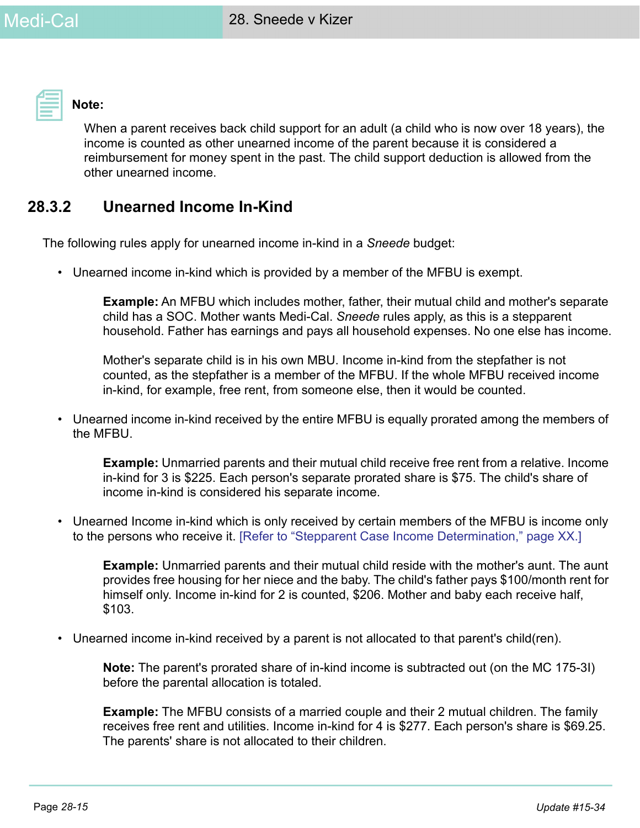

**Note:** 

When a parent receives back child support for an adult (a child who is now over 18 years), the income is counted as other unearned income of the parent because it is considered a reimbursement for money spent in the past. The child support deduction is allowed from the other unearned income.

# **28.3.2 Unearned Income In-Kind**

The following rules apply for unearned income in-kind in a *Sneede* budget:

• Unearned income in-kind which is provided by a member of the MFBU is exempt.

**Example:** An MFBU which includes mother, father, their mutual child and mother's separate child has a SOC. Mother wants Medi-Cal. *Sneede* rules apply, as this is a stepparent household. Father has earnings and pays all household expenses. No one else has income.

Mother's separate child is in his own MBU. Income in-kind from the stepfather is not counted, as the stepfather is a member of the MFBU. If the whole MFBU received income in-kind, for example, free rent, from someone else, then it would be counted.

• Unearned income in-kind received by the entire MFBU is equally prorated among the members of the MFBU.

**Example:** Unmarried parents and their mutual child receive free rent from a relative. Income in-kind for 3 is \$225. Each person's separate prorated share is \$75. The child's share of income in-kind is considered his separate income.

• Unearned Income in-kind which is only received by certain members of the MFBU is income only to the persons who receive it. [Refer to "Stepparent Case Income Determination," page XX.]

**Example:** Unmarried parents and their mutual child reside with the mother's aunt. The aunt provides free housing for her niece and the baby. The child's father pays \$100/month rent for himself only. Income in-kind for 2 is counted, \$206. Mother and baby each receive half, \$103.

• Unearned income in-kind received by a parent is not allocated to that parent's child(ren).

**Note:** The parent's prorated share of in-kind income is subtracted out (on the MC 175-3I) before the parental allocation is totaled.

**Example:** The MFBU consists of a married couple and their 2 mutual children. The family receives free rent and utilities. Income in-kind for 4 is \$277. Each person's share is \$69.25. The parents' share is not allocated to their children.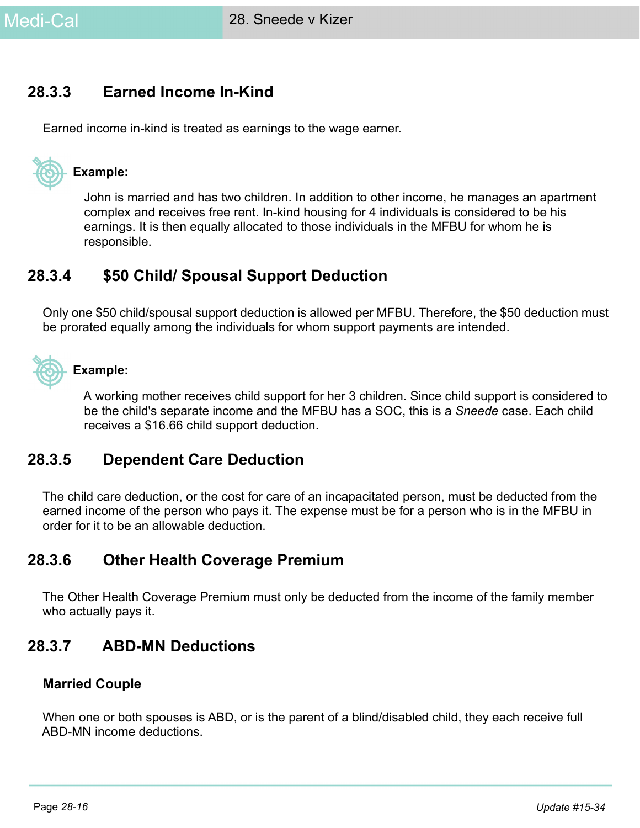# **28.3.3 Earned Income In-Kind**

Earned income in-kind is treated as earnings to the wage earner.



#### **Example:**

John is married and has two children. In addition to other income, he manages an apartment complex and receives free rent. In-kind housing for 4 individuals is considered to be his earnings. It is then equally allocated to those individuals in the MFBU for whom he is responsible.

# **28.3.4 \$50 Child/ Spousal Support Deduction**

Only one \$50 child/spousal support deduction is allowed per MFBU. Therefore, the \$50 deduction must be prorated equally among the individuals for whom support payments are intended.



### **Example:**

A working mother receives child support for her 3 children. Since child support is considered to be the child's separate income and the MFBU has a SOC, this is a *Sneede* case. Each child receives a \$16.66 child support deduction.

# **28.3.5 Dependent Care Deduction**

The child care deduction, or the cost for care of an incapacitated person, must be deducted from the earned income of the person who pays it. The expense must be for a person who is in the MFBU in order for it to be an allowable deduction.

# **28.3.6 Other Health Coverage Premium**

The Other Health Coverage Premium must only be deducted from the income of the family member who actually pays it.

# **28.3.7 ABD-MN Deductions**

#### **Married Couple**

When one or both spouses is ABD, or is the parent of a blind/disabled child, they each receive full ABD-MN income deductions.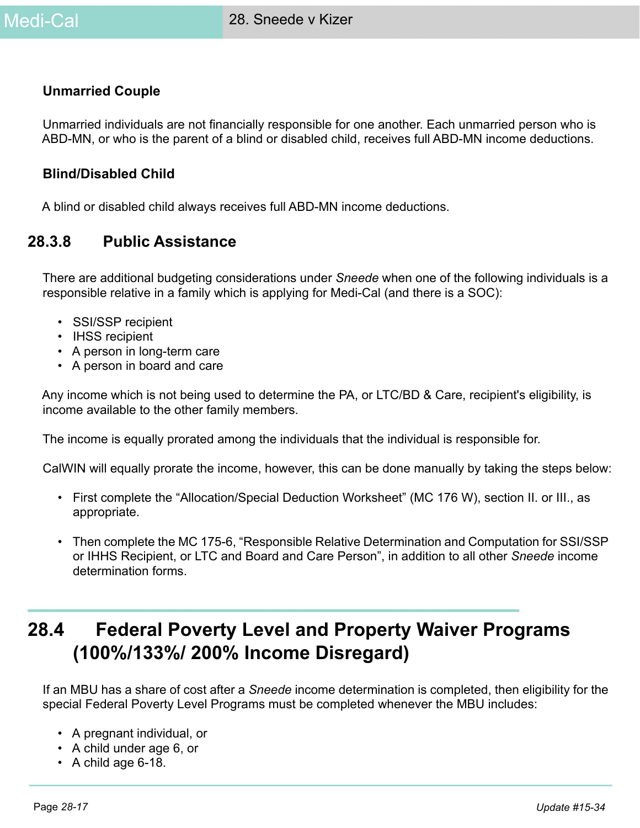#### **Unmarried Couple**

Unmarried individuals are not financially responsible for one another. Each unmarried person who is ABD-MN, or who is the parent of a blind or disabled child, receives full ABD-MN income deductions.

#### **Blind/Disabled Child**

A blind or disabled child always receives full ABD-MN income deductions.

# **28.3.8 Public Assistance**

There are additional budgeting considerations under *Sneede* when one of the following individuals is a responsible relative in a family which is applying for Medi-Cal (and there is a SOC):

- SSI/SSP recipient
- IHSS recipient
- A person in long-term care
- A person in board and care

Any income which is not being used to determine the PA, or LTC/BD & Care, recipient's eligibility, is income available to the other family members.

The income is equally prorated among the individuals that the individual is responsible for.

CalWIN will equally prorate the income, however, this can be done manually by taking the steps below:

- First complete the "Allocation/Special Deduction Worksheet" (MC 176 W), section II. or III., as appropriate.
- Then complete the MC 175-6, "Responsible Relative Determination and Computation for SSI/SSP or IHHS Recipient, or LTC and Board and Care Person", in addition to all other *Sneede* income determination forms.

# **28.4 Federal Poverty Level and Property Waiver Programs (100%/133%/ 200% Income Disregard)**

If an MBU has a share of cost after a *Sneede* income determination is completed, then eligibility for the special Federal Poverty Level Programs must be completed whenever the MBU includes:

- A pregnant individual, or
- A child under age 6, or
- A child age 6-18.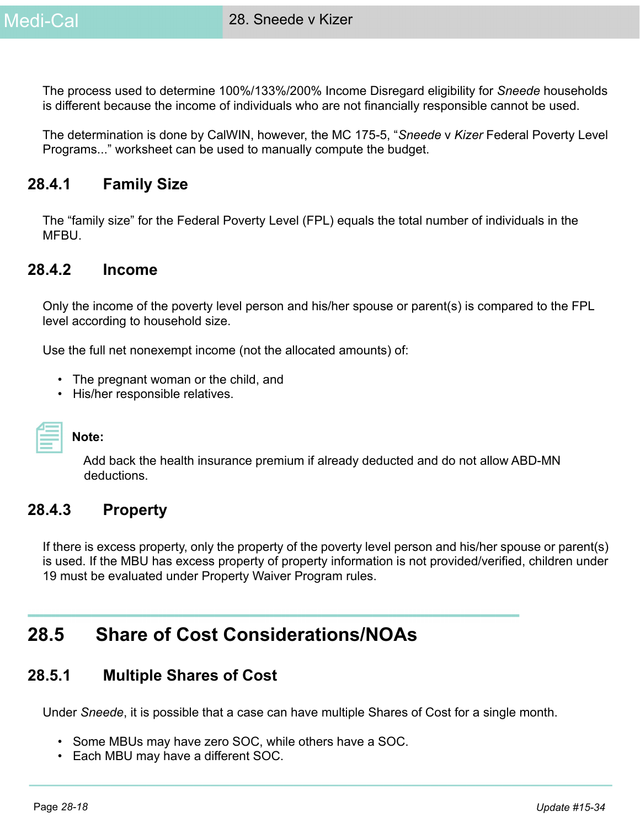The process used to determine 100%/133%/200% Income Disregard eligibility for *Sneede* households is different because the income of individuals who are not financially responsible cannot be used.

The determination is done by CalWIN, however, the MC 175-5, "*Sneede* v *Kizer* Federal Poverty Level Programs..." worksheet can be used to manually compute the budget.

# **28.4.1 Family Size**

The "family size" for the Federal Poverty Level (FPL) equals the total number of individuals in the MFBU.

#### **28.4.2 Income**

Only the income of the poverty level person and his/her spouse or parent(s) is compared to the FPL level according to household size.

Use the full net nonexempt income (not the allocated amounts) of:

- The pregnant woman or the child, and
- His/her responsible relatives.

| _________ |  |
|-----------|--|
|           |  |

#### **Note:**

Add back the health insurance premium if already deducted and do not allow ABD-MN deductions.

## **28.4.3 Property**

If there is excess property, only the property of the poverty level person and his/her spouse or parent(s) is used. If the MBU has excess property of property information is not provided/verified, children under 19 must be evaluated under Property Waiver Program rules.

# **28.5 Share of Cost Considerations/NOAs**

## **28.5.1 Multiple Shares of Cost**

Under *Sneede*, it is possible that a case can have multiple Shares of Cost for a single month.

- Some MBUs may have zero SOC, while others have a SOC.
- Each MBU may have a different SOC.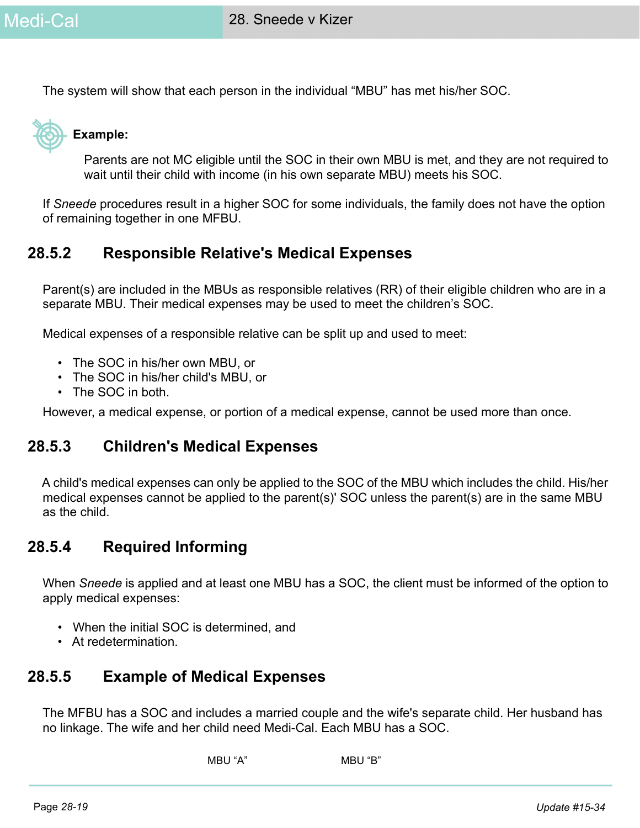The system will show that each person in the individual "MBU" has met his/her SOC.



#### **Example:**

Parents are not MC eligible until the SOC in their own MBU is met, and they are not required to wait until their child with income (in his own separate MBU) meets his SOC.

If *Sneede* procedures result in a higher SOC for some individuals, the family does not have the option of remaining together in one MFBU.

# **28.5.2 Responsible Relative's Medical Expenses**

Parent(s) are included in the MBUs as responsible relatives (RR) of their eligible children who are in a separate MBU. Their medical expenses may be used to meet the children's SOC.

Medical expenses of a responsible relative can be split up and used to meet:

- The SOC in his/her own MBU, or
- The SOC in his/her child's MBU, or
- The SOC in both.

However, a medical expense, or portion of a medical expense, cannot be used more than once.

#### **28.5.3 Children's Medical Expenses**

A child's medical expenses can only be applied to the SOC of the MBU which includes the child. His/her medical expenses cannot be applied to the parent(s)' SOC unless the parent(s) are in the same MBU as the child.

# **28.5.4 Required Informing**

When *Sneede* is applied and at least one MBU has a SOC, the client must be informed of the option to apply medical expenses:

- When the initial SOC is determined, and
- At redetermination.

## **28.5.5 Example of Medical Expenses**

The MFBU has a SOC and includes a married couple and the wife's separate child. Her husband has no linkage. The wife and her child need Medi-Cal. Each MBU has a SOC.

```
MBU "A" MBU "B"
```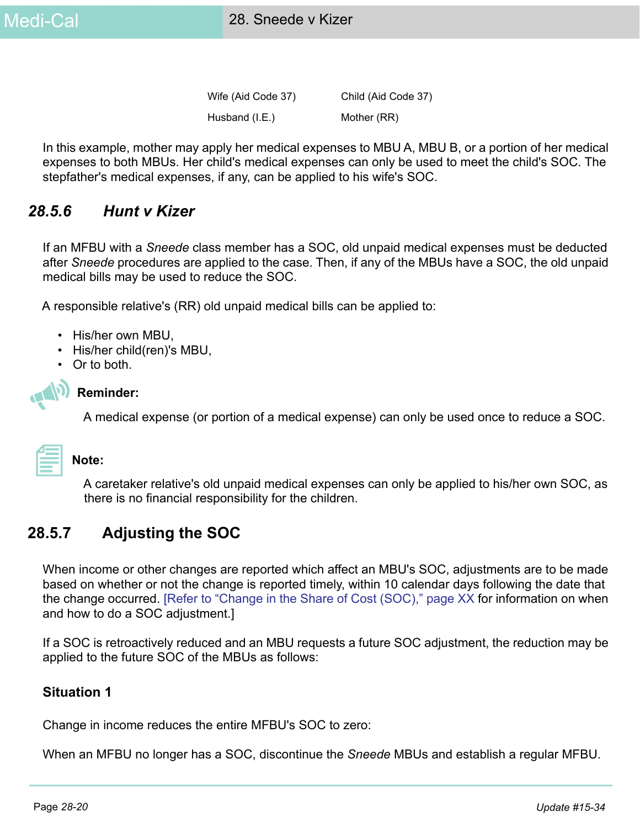Wife (Aid Code 37) Child (Aid Code 37) Husband (I.E.) Mother (RR)

In this example, mother may apply her medical expenses to MBU A, MBU B, or a portion of her medical expenses to both MBUs. Her child's medical expenses can only be used to meet the child's SOC. The stepfather's medical expenses, if any, can be applied to his wife's SOC.

# *28.5.6 Hunt v Kizer*

If an MFBU with a *Sneede* class member has a SOC, old unpaid medical expenses must be deducted after *Sneede* procedures are applied to the case. Then, if any of the MBUs have a SOC, the old unpaid medical bills may be used to reduce the SOC.

A responsible relative's (RR) old unpaid medical bills can be applied to:

- His/her own MBU,
- His/her child(ren)'s MBU,
- Or to both.



#### **Reminder:**

A medical expense (or portion of a medical expense) can only be used once to reduce a SOC.

#### **Note:**

A caretaker relative's old unpaid medical expenses can only be applied to his/her own SOC, as there is no financial responsibility for the children.

# **28.5.7 Adjusting the SOC**

When income or other changes are reported which affect an MBU's SOC, adjustments are to be made based on whether or not the change is reported timely, within 10 calendar days following the date that the change occurred. [Refer to "Change in the Share of Cost (SOC)," page XX for information on when and how to do a SOC adjustment.]

If a SOC is retroactively reduced and an MBU requests a future SOC adjustment, the reduction may be applied to the future SOC of the MBUs as follows:

#### **Situation 1**

Change in income reduces the entire MFBU's SOC to zero:

When an MFBU no longer has a SOC, discontinue the *Sneede* MBUs and establish a regular MFBU.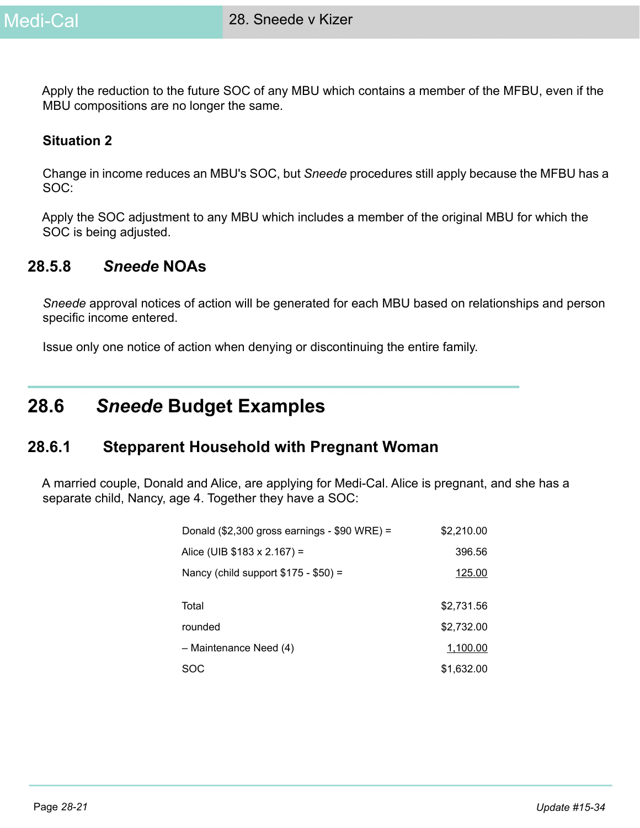

Apply the reduction to the future SOC of any MBU which contains a member of the MFBU, even if the MBU compositions are no longer the same.

#### **Situation 2**

Change in income reduces an MBU's SOC, but *Sneede* procedures still apply because the MFBU has a SOC:

Apply the SOC adjustment to any MBU which includes a member of the original MBU for which the SOC is being adjusted.

### **28.5.8** *Sneede* **NOAs**

*Sneede* approval notices of action will be generated for each MBU based on relationships and person specific income entered.

Issue only one notice of action when denying or discontinuing the entire family.

# **28.6** *Sneede* **Budget Examples**

#### **28.6.1 Stepparent Household with Pregnant Woman**

A married couple, Donald and Alice, are applying for Medi-Cal. Alice is pregnant, and she has a separate child, Nancy, age 4. Together they have a SOC:

| Donald $(\$2,300$ gross earnings - $$90$ WRE) = | \$2,210.00 |
|-------------------------------------------------|------------|
| Alice (UIB $$183 \times 2.167$ ) =              | 396.56     |
| Nancy (child support $$175 - $50$ ) =           | 125.00     |
|                                                 |            |
| Total                                           | \$2,731.56 |
| rounded                                         | \$2,732.00 |
| - Maintenance Need (4)                          | 1,100.00   |
| SOC                                             | \$1,632.00 |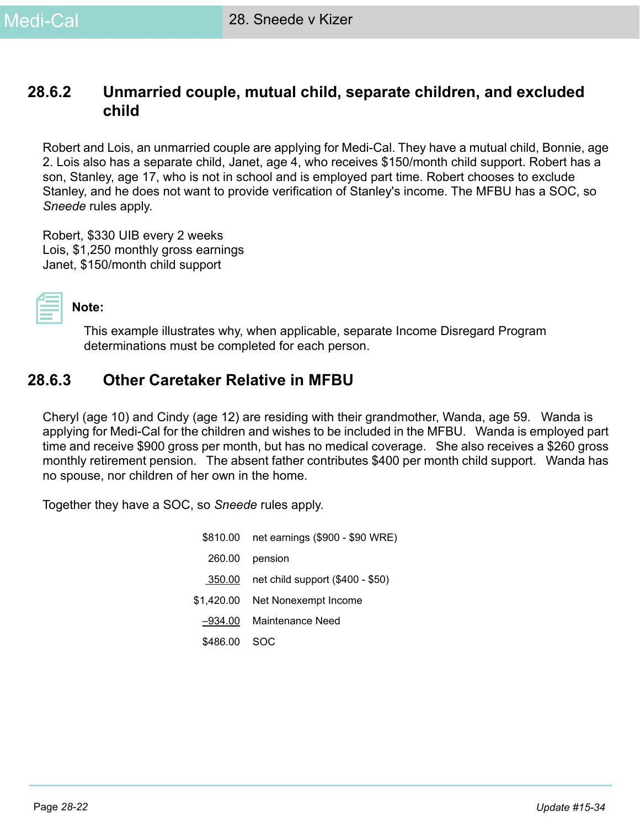# **28.6.2 Unmarried couple, mutual child, separate children, and excluded child**

Robert and Lois, an unmarried couple are applying for Medi-Cal. They have a mutual child, Bonnie, age 2. Lois also has a separate child, Janet, age 4, who receives \$150/month child support. Robert has a son, Stanley, age 17, who is not in school and is employed part time. Robert chooses to exclude Stanley, and he does not want to provide verification of Stanley's income. The MFBU has a SOC, so *Sneede* rules apply.

Robert, \$330 UIB every 2 weeks Lois, \$1,250 monthly gross earnings Janet, \$150/month child support



#### **Note:**

This example illustrates why, when applicable, separate Income Disregard Program determinations must be completed for each person.

# **28.6.3 Other Caretaker Relative in MFBU**

Cheryl (age 10) and Cindy (age 12) are residing with their grandmother, Wanda, age 59. Wanda is applying for Medi-Cal for the children and wishes to be included in the MFBU. Wanda is employed part time and receive \$900 gross per month, but has no medical coverage. She also receives a \$260 gross monthly retirement pension. The absent father contributes \$400 per month child support. Wanda has no spouse, nor children of her own in the home.

Together they have a SOC, so *Sneede* rules apply.

| \$810.00   | net earnings (\$900 - \$90 WRE)  |
|------------|----------------------------------|
| 260.00     | pension                          |
| 350.00     | net child support (\$400 - \$50) |
| \$1,420.00 | Net Nonexempt Income             |
| –934.00    | Maintenance Need                 |
| \$486.00   | soc                              |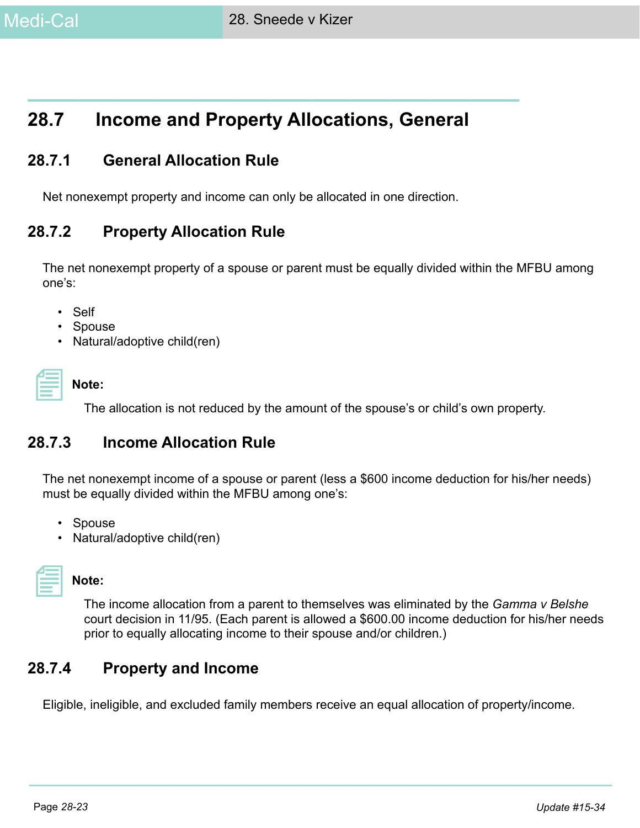

# **28.7 Income and Property Allocations, General**

# **28.7.1 General Allocation Rule**

Net nonexempt property and income can only be allocated in one direction.

# **28.7.2 Property Allocation Rule**

The net nonexempt property of a spouse or parent must be equally divided within the MFBU among one's:

- Self
- Spouse
- Natural/adoptive child(ren)

The allocation is not reduced by the amount of the spouse's or child's own property.

## **28.7.3 Income Allocation Rule**

The net nonexempt income of a spouse or parent (less a \$600 income deduction for his/her needs) must be equally divided within the MFBU among one's:

- Spouse
- Natural/adoptive child(ren)

#### **Note:**

The income allocation from a parent to themselves was eliminated by the *Gamma v Belshe* court decision in 11/95. (Each parent is allowed a \$600.00 income deduction for his/her needs prior to equally allocating income to their spouse and/or children.)

# **28.7.4 Property and Income**

Eligible, ineligible, and excluded family members receive an equal allocation of property/income.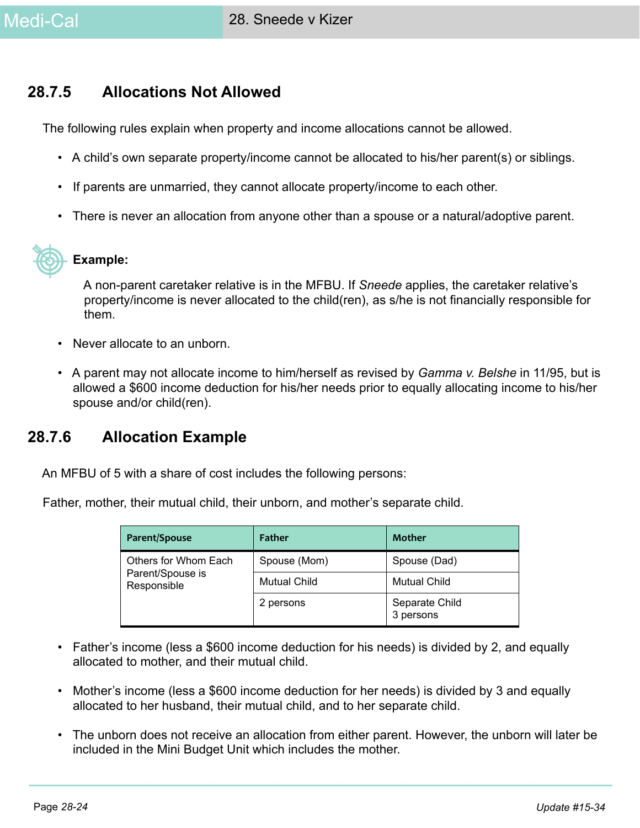# **28.7.5 Allocations Not Allowed**

The following rules explain when property and income allocations cannot be allowed.

- A child's own separate property/income cannot be allocated to his/her parent(s) or siblings.
- If parents are unmarried, they cannot allocate property/income to each other.
- There is never an allocation from anyone other than a spouse or a natural/adoptive parent.



#### **Example:**

A non-parent caretaker relative is in the MFBU. If *Sneede* applies, the caretaker relative's property/income is never allocated to the child(ren), as s/he is not financially responsible for them.

- Never allocate to an unborn.
- A parent may not allocate income to him/herself as revised by *Gamma v. Belshe* in 11/95, but is allowed a \$600 income deduction for his/her needs prior to equally allocating income to his/her spouse and/or child(ren).

# **28.7.6 Allocation Example**

An MFBU of 5 with a share of cost includes the following persons:

Father, mother, their mutual child, their unborn, and mother's separate child.

| Parent/Spouse                                           | <b>Father</b>       | Mother                      |  |
|---------------------------------------------------------|---------------------|-----------------------------|--|
| Others for Whom Each<br>Parent/Spouse is<br>Responsible | Spouse (Mom)        | Spouse (Dad)                |  |
|                                                         | <b>Mutual Child</b> | <b>Mutual Child</b>         |  |
|                                                         | 2 persons           | Separate Child<br>3 persons |  |

- Father's income (less a \$600 income deduction for his needs) is divided by 2, and equally allocated to mother, and their mutual child.
- Mother's income (less a \$600 income deduction for her needs) is divided by 3 and equally allocated to her husband, their mutual child, and to her separate child.
- The unborn does not receive an allocation from either parent. However, the unborn will later be included in the Mini Budget Unit which includes the mother.